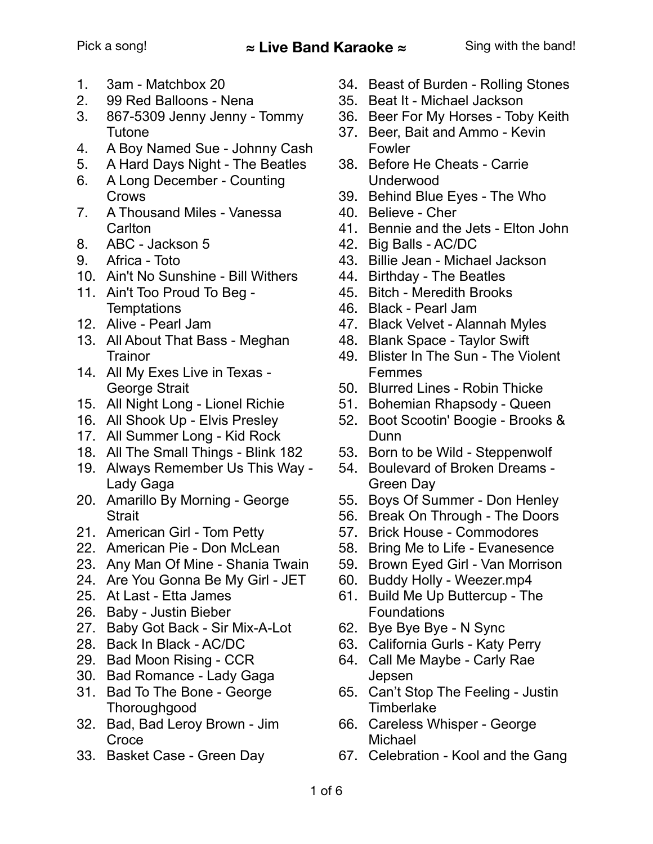- 1. 3am Matchbox 20
- 2. 99 Red Balloons Nena
- 3. 867-5309 Jenny Jenny Tommy Tutone
- 4. A Boy Named Sue Johnny Cash
- 5. A Hard Days Night The Beatles
- 6. A Long December Counting **Crows**
- 7. A Thousand Miles Vanessa **Carlton**
- 8. ABC Jackson 5
- 9. Africa Toto
- 10. Ain't No Sunshine Bill Withers
- 11. Ain't Too Proud To Beg **Temptations**
- 12. Alive Pearl Jam
- 13. All About That Bass Meghan **Trainor**
- 14. All My Exes Live in Texas George Strait
- 15. All Night Long Lionel Richie
- 16. All Shook Up Elvis Presley
- 17. All Summer Long Kid Rock
- 18. All The Small Things Blink 182
- 19. Always Remember Us This Way Lady Gaga
- 20. Amarillo By Morning George **Strait**
- 21. American Girl Tom Petty
- 22. American Pie Don McLean
- 23. Any Man Of Mine Shania Twain
- 24. Are You Gonna Be My Girl JET
- 25. At Last Etta James
- 26. Baby Justin Bieber
- 27. Baby Got Back Sir Mix-A-Lot
- 28. Back In Black AC/DC
- 29. Bad Moon Rising CCR
- 30. Bad Romance Lady Gaga
- 31. Bad To The Bone George **Thoroughgood**
- 32. Bad, Bad Leroy Brown Jim **Croce**
- 33. Basket Case Green Day
- 34. Beast of Burden Rolling Stones
- 35. Beat It Michael Jackson
- 36. Beer For My Horses Toby Keith
- 37. Beer, Bait and Ammo Kevin Fowler
- 38. Before He Cheats Carrie Underwood
- 39. Behind Blue Eyes The Who
- 40. Believe Cher
- 41. Bennie and the Jets Elton John
- 42. Big Balls AC/DC
- 43. Billie Jean Michael Jackson
- 44. Birthday The Beatles
- 45. Bitch Meredith Brooks
- 46. Black Pearl Jam
- 47. Black Velvet Alannah Myles
- 48. Blank Space Taylor Swift
- 49. Blister In The Sun The Violent Femmes
- 50. Blurred Lines Robin Thicke
- 51. Bohemian Rhapsody Queen
- 52. Boot Scootin' Boogie Brooks & **Dunn**
- 53. Born to be Wild Steppenwolf
- 54. Boulevard of Broken Dreams Green Day
- 55. Boys Of Summer Don Henley
- 56. Break On Through The Doors
- 57. Brick House Commodores
- 58. Bring Me to Life Evanesence
- 59. Brown Eyed Girl Van Morrison
- 60. Buddy Holly Weezer.mp4
- 61. Build Me Up Buttercup The Foundations
- 62. Bye Bye Bye N Sync
- 63. California Gurls Katy Perry
- 64. Call Me Maybe Carly Rae Jepsen
- 65. Can't Stop The Feeling Justin **Timberlake**
- 66. Careless Whisper George Michael
- 67. Celebration Kool and the Gang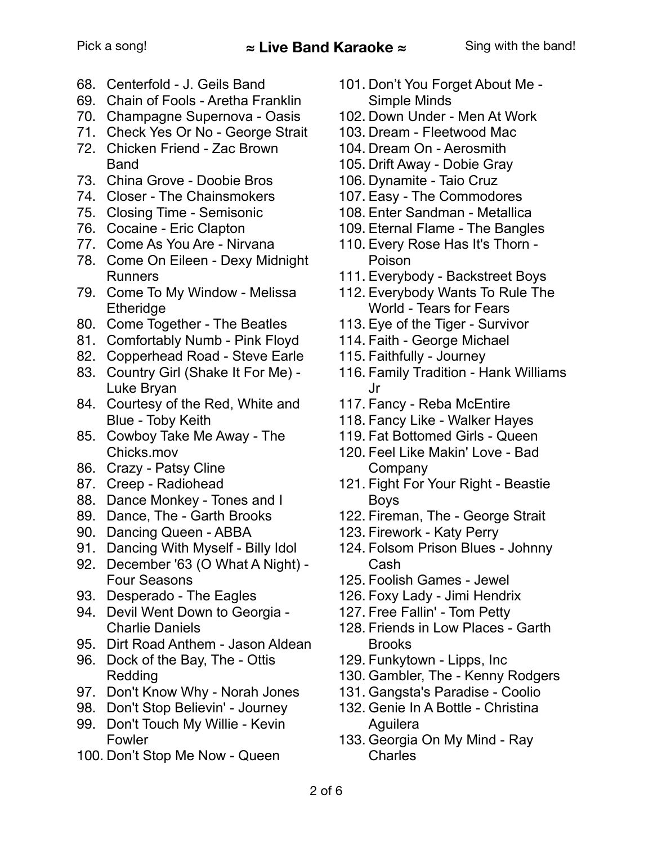- 68. Centerfold J. Geils Band
- 69. Chain of Fools Aretha Franklin
- 70. Champagne Supernova Oasis
- 71. Check Yes Or No George Strait
- 72. Chicken Friend Zac Brown Band
- 73. China Grove Doobie Bros
- 74. Closer The Chainsmokers
- 75. Closing Time Semisonic
- 76. Cocaine Eric Clapton
- 77. Come As You Are Nirvana
- 78. Come On Eileen Dexy Midnight Runners
- 79. Come To My Window Melissa **Etheridge**
- 80. Come Together The Beatles
- 81. Comfortably Numb Pink Floyd
- 82. Copperhead Road Steve Earle
- 83. Country Girl (Shake It For Me) Luke Bryan
- 84. Courtesy of the Red, White and Blue - Toby Keith
- 85. Cowboy Take Me Away The Chicks.mov
- 86. Crazy Patsy Cline
- 87. Creep Radiohead
- 88. Dance Monkey Tones and I
- 89. Dance, The Garth Brooks
- 90. Dancing Queen ABBA
- 91. Dancing With Myself Billy Idol
- 92. December '63 (O What A Night) Four Seasons
- 93. Desperado The Eagles
- 94. Devil Went Down to Georgia Charlie Daniels
- 95. Dirt Road Anthem Jason Aldean
- 96. Dock of the Bay, The Ottis Redding
- 97. Don't Know Why Norah Jones
- 98. Don't Stop Believin' Journey
- 99. Don't Touch My Willie Kevin Fowler
- 100. Don't Stop Me Now Queen
- 101. Don't You Forget About Me Simple Minds
- 102. Down Under Men At Work
- 103. Dream Fleetwood Mac
	- 104. Dream On Aerosmith
- 105. Drift Away Dobie Gray
- 106. Dynamite Taio Cruz
- 107. Easy The Commodores
- 108. Enter Sandman Metallica
- 109. Eternal Flame The Bangles
- 110. Every Rose Has It's Thorn Poison
- 111. Everybody Backstreet Boys
- 112. Everybody Wants To Rule The World - Tears for Fears
- 113. Eye of the Tiger Survivor
- 114. Faith George Michael
- 115. Faithfully Journey
- 116. Family Tradition Hank Williams Jr
- 117. Fancy Reba McEntire
- 118. Fancy Like Walker Hayes
- 119. Fat Bottomed Girls Queen
- 120. Feel Like Makin' Love Bad Company
- 121. Fight For Your Right Beastie Boys
- 122. Fireman, The George Strait
- 123. Firework Katy Perry
- 124. Folsom Prison Blues Johnny Cash
- 125. Foolish Games Jewel
- 126. Foxy Lady Jimi Hendrix
- 127. Free Fallin' Tom Petty
- 128. Friends in Low Places Garth Brooks
- 129. Funkytown Lipps, Inc
- 130. Gambler, The Kenny Rodgers
- 131. Gangsta's Paradise Coolio
- 132. Genie In A Bottle Christina Aguilera
- 133. Georgia On My Mind Ray **Charles**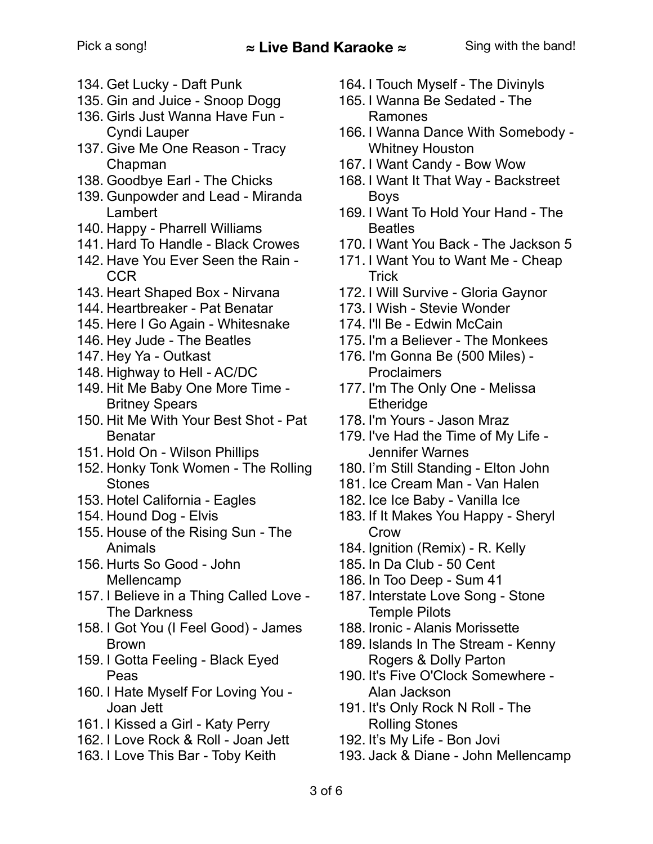- 134. Get Lucky Daft Punk
- 135. Gin and Juice Snoop Dogg
- 136. Girls Just Wanna Have Fun Cyndi Lauper
- 137. Give Me One Reason Tracy Chapman
- 138. Goodbye Earl The Chicks
- 139. Gunpowder and Lead Miranda Lambert
- 140. Happy Pharrell Williams
- 141. Hard To Handle Black Crowes
- 142. Have You Ever Seen the Rain CCR
- 143. Heart Shaped Box Nirvana
- 144. Heartbreaker Pat Benatar
- 145. Here I Go Again Whitesnake
- 146. Hey Jude The Beatles
- 147. Hey Ya Outkast
- 148. Highway to Hell AC/DC
- 149. Hit Me Baby One More Time Britney Spears
- 150. Hit Me With Your Best Shot Pat Benatar
- 151. Hold On Wilson Phillips
- 152. Honky Tonk Women The Rolling **Stones**
- 153. Hotel California Eagles
- 154. Hound Dog Elvis
- 155. House of the Rising Sun The Animals
- 156. Hurts So Good John Mellencamp
- 157. I Believe in a Thing Called Love The Darkness
- 158. I Got You (I Feel Good) James Brown
- 159. I Gotta Feeling Black Eyed Peas
- 160. I Hate Myself For Loving You Joan Jett
- 161. I Kissed a Girl Katy Perry
- 162. I Love Rock & Roll Joan Jett
- 163. I Love This Bar Toby Keith
- 164. I Touch Myself The Divinyls
- 165. I Wanna Be Sedated The Ramones
- 166. I Wanna Dance With Somebody Whitney Houston
- 167. I Want Candy Bow Wow
- 168. I Want It That Way Backstreet Boys
- 169. I Want To Hold Your Hand The **Beatles**
- 170. I Want You Back The Jackson 5
- 171. I Want You to Want Me Cheap **Trick**
- 172. I Will Survive Gloria Gaynor
- 173. I Wish Stevie Wonder
- 174. I'll Be Edwin McCain
- 175. I'm a Believer The Monkees
- 176. I'm Gonna Be (500 Miles) **Proclaimers**
- 177. I'm The Only One Melissa **Etheridge**
- 178. I'm Yours Jason Mraz
- 179. I've Had the Time of My Life Jennifer Warnes
- 180. I'm Still Standing Elton John
- 181. Ice Cream Man Van Halen
- 182. Ice Ice Baby Vanilla Ice
- 183. If It Makes You Happy Sheryl Crow
- 184. Ignition (Remix) R. Kelly
- 185. In Da Club 50 Cent
- 186. In Too Deep Sum 41
- 187. Interstate Love Song Stone Temple Pilots
- 188. Ironic Alanis Morissette
- 189. Islands In The Stream Kenny Rogers & Dolly Parton
- 190. It's Five O'Clock Somewhere Alan Jackson
- 191. It's Only Rock N Roll The Rolling Stones
- 192. It's My Life Bon Jovi
- 193. Jack & Diane John Mellencamp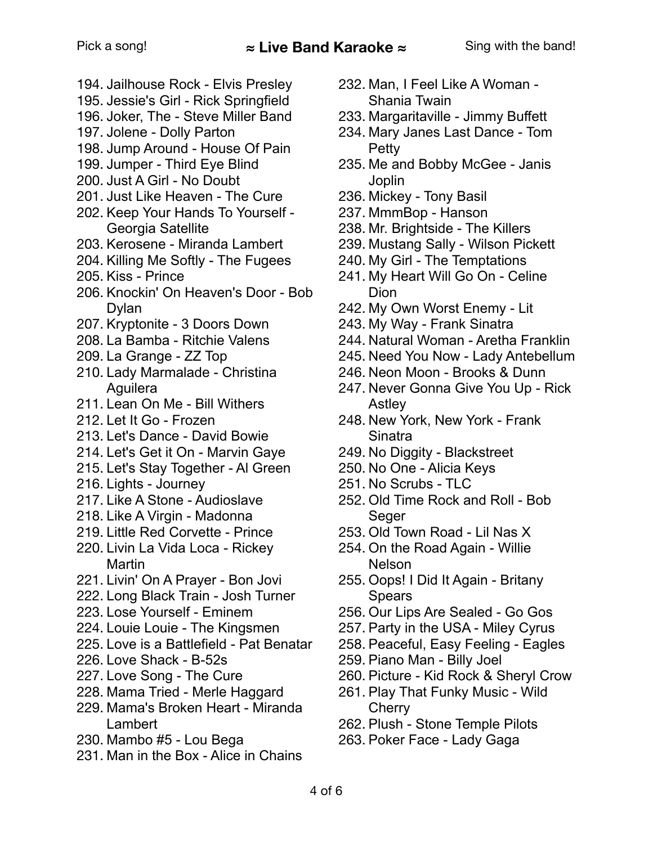- 194. Jailhouse Rock Elvis Presley
- 195. Jessie's Girl Rick Springfield
- 196. Joker, The Steve Miller Band
- 197. Jolene Dolly Parton
- 198. Jump Around House Of Pain
- 199. Jumper Third Eye Blind
- 200. Just A Girl No Doubt
- 201. Just Like Heaven The Cure
- 202. Keep Your Hands To Yourself Georgia Satellite
- 203. Kerosene Miranda Lambert
- 204. Killing Me Softly The Fugees
- 205. Kiss Prince
- 206. Knockin' On Heaven's Door Bob Dylan
- 207. Kryptonite 3 Doors Down
- 208. La Bamba Ritchie Valens
- 209. La Grange ZZ Top
- 210. Lady Marmalade Christina Aguilera
- 211. Lean On Me Bill Withers
- 212. Let It Go Frozen
- 213. Let's Dance David Bowie
- 214. Let's Get it On Marvin Gaye
- 215. Let's Stay Together Al Green
- 216. Lights Journey
- 217. Like A Stone Audioslave
- 218. Like A Virgin Madonna
- 219. Little Red Corvette Prince
- 220. Livin La Vida Loca Rickey Martin
- 221. Livin' On A Prayer Bon Jovi
- 222. Long Black Train Josh Turner
- 223. Lose Yourself Eminem
- 224. Louie Louie The Kingsmen
- 225. Love is a Battlefield Pat Benatar
- 226. Love Shack B-52s
- 227. Love Song The Cure
- 228. Mama Tried Merle Haggard
- 229. Mama's Broken Heart Miranda Lambert
- 230. Mambo #5 Lou Bega
- 231. Man in the Box Alice in Chains
- 232. Man, I Feel Like A Woman Shania Twain
- 233. Margaritaville Jimmy Buffett
- 234. Mary Janes Last Dance Tom Petty
- 235. Me and Bobby McGee Janis Joplin
- 236. Mickey Tony Basil
- 237. MmmBop Hanson
- 238. Mr. Brightside The Killers
- 239. Mustang Sally Wilson Pickett
- 240. My Girl The Temptations
- 241. My Heart Will Go On Celine **Dion**
- 242. My Own Worst Enemy Lit
- 243. My Way Frank Sinatra
- 244. Natural Woman Aretha Franklin
- 245. Need You Now Lady Antebellum
- 246. Neon Moon Brooks & Dunn
- 247. Never Gonna Give You Up Rick Astley
- 248. New York, New York Frank **Sinatra**
- 249. No Diggity Blackstreet
- 250. No One Alicia Keys
- 251. No Scrubs TLC
- 252. Old Time Rock and Roll Bob **Seger**
- 253. Old Town Road Lil Nas X
- 254. On the Road Again Willie Nelson
- 255. Oops! I Did It Again Britany Spears
- 256. Our Lips Are Sealed Go Gos
- 257. Party in the USA Miley Cyrus
- 258. Peaceful, Easy Feeling Eagles
- 259. Piano Man Billy Joel
- 260. Picture Kid Rock & Sheryl Crow
- 261. Play That Funky Music Wild **Cherry**
- 262. Plush Stone Temple Pilots
- 263. Poker Face Lady Gaga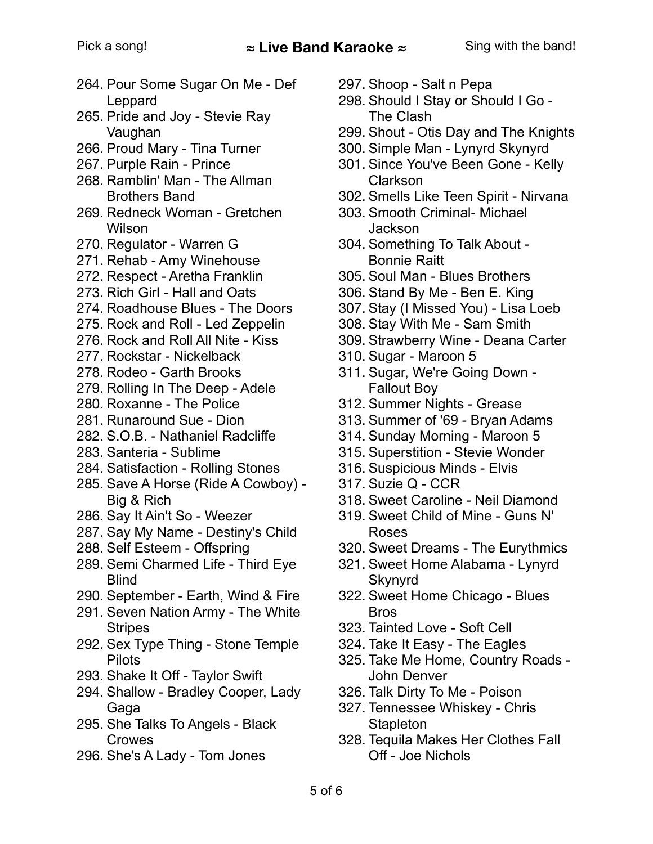- 264. Pour Some Sugar On Me Def Leppard
- 265. Pride and Joy Stevie Ray Vaughan
- 266. Proud Mary Tina Turner
- 267. Purple Rain Prince
- 268. Ramblin' Man The Allman Brothers Band
- 269. Redneck Woman Gretchen Wilson
- 270. Regulator Warren G
- 271. Rehab Amy Winehouse
- 272. Respect Aretha Franklin
- 273. Rich Girl Hall and Oats
- 274. Roadhouse Blues The Doors
- 275. Rock and Roll Led Zeppelin
- 276. Rock and Roll All Nite Kiss
- 277. Rockstar Nickelback
- 278. Rodeo Garth Brooks
- 279. Rolling In The Deep Adele
- 280. Roxanne The Police
- 281. Runaround Sue Dion
- 282. S.O.B. Nathaniel Radcliffe
- 283. Santeria Sublime
- 284. Satisfaction Rolling Stones
- 285. Save A Horse (Ride A Cowboy) Big & Rich
- 286. Say It Ain't So Weezer
- 287. Say My Name Destiny's Child
- 288. Self Esteem Offspring
- 289. Semi Charmed Life Third Eye **Blind**
- 290. September Earth, Wind & Fire
- 291. Seven Nation Army The White **Stripes**
- 292. Sex Type Thing Stone Temple **Pilots**
- 293. Shake It Off Taylor Swift
- 294. Shallow Bradley Cooper, Lady Gaga
- 295. She Talks To Angels Black Crowes
- 296. She's A Lady Tom Jones
- 297. Shoop Salt n Pepa
- 298. Should I Stay or Should I Go The Clash
- 299. Shout Otis Day and The Knights
- 300. Simple Man Lynyrd Skynyrd
- 301. Since You've Been Gone Kelly Clarkson
- 302. Smells Like Teen Spirit Nirvana
- 303. Smooth Criminal- Michael Jackson
- 304. Something To Talk About Bonnie Raitt
- 305. Soul Man Blues Brothers
- 306. Stand By Me Ben E. King
- 307. Stay (I Missed You) Lisa Loeb
- 308. Stay With Me Sam Smith
- 309. Strawberry Wine Deana Carter
- 310. Sugar Maroon 5
- 311. Sugar, We're Going Down Fallout Boy
- 312. Summer Nights Grease
- 313. Summer of '69 Bryan Adams
- 314. Sunday Morning Maroon 5
- 315. Superstition Stevie Wonder
- 316. Suspicious Minds Elvis
- 317. Suzie Q CCR
- 318. Sweet Caroline Neil Diamond
- 319. Sweet Child of Mine Guns N' Roses
- 320. Sweet Dreams The Eurythmics
- 321. Sweet Home Alabama Lynyrd Skynyrd
- 322. Sweet Home Chicago Blues Bros
- 323. Tainted Love Soft Cell
- 324. Take It Easy The Eagles
- 325. Take Me Home, Country Roads John Denver
- 326. Talk Dirty To Me Poison
- 327. Tennessee Whiskey Chris **Stapleton**
- 328. Tequila Makes Her Clothes Fall Off - Joe Nichols